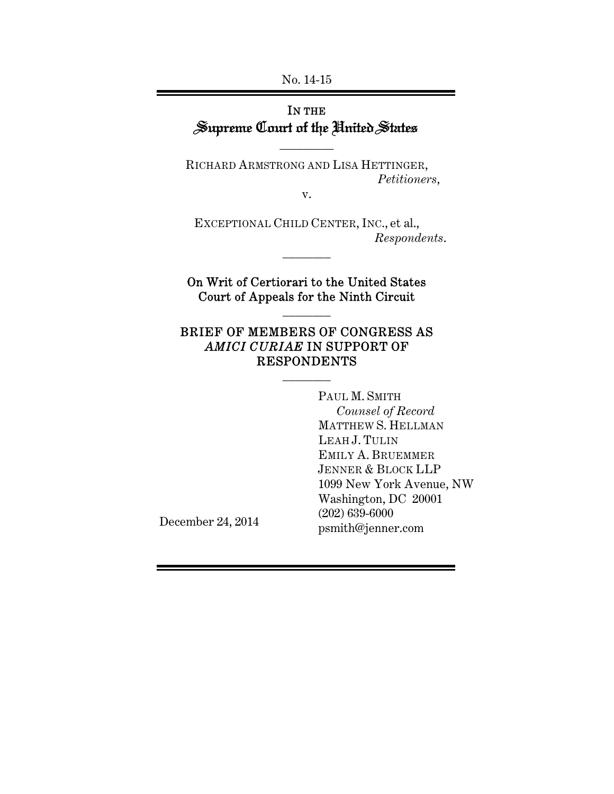No. 14-15

# IN THE Supreme Court of the United States

\_\_\_\_\_\_\_\_\_

RICHARD ARMSTRONG AND LISA HETTINGER,  *Petitioners*,

v.

EXCEPTIONAL CHILD CENTER, INC., et al., *Respondents*.

On Writ of Certiorari to the United States Court of Appeals for the Ninth Circuit

\_\_\_\_\_\_\_\_

\_\_\_\_\_\_\_\_

# BRIEF OF MEMBERS OF CONGRESS AS *AMICI CURIAE* IN SUPPORT OF RESPONDENTS

\_\_\_\_\_\_\_\_

PAUL M. SMITH *Counsel of Record*  MATTHEW S. HELLMAN LEAH J. TULIN EMILY A. BRUEMMER JENNER & BLOCK LLP 1099 New York Avenue, NW Washington, DC 20001 (202) 639-6000 psmith@jenner.com

December 24, 2014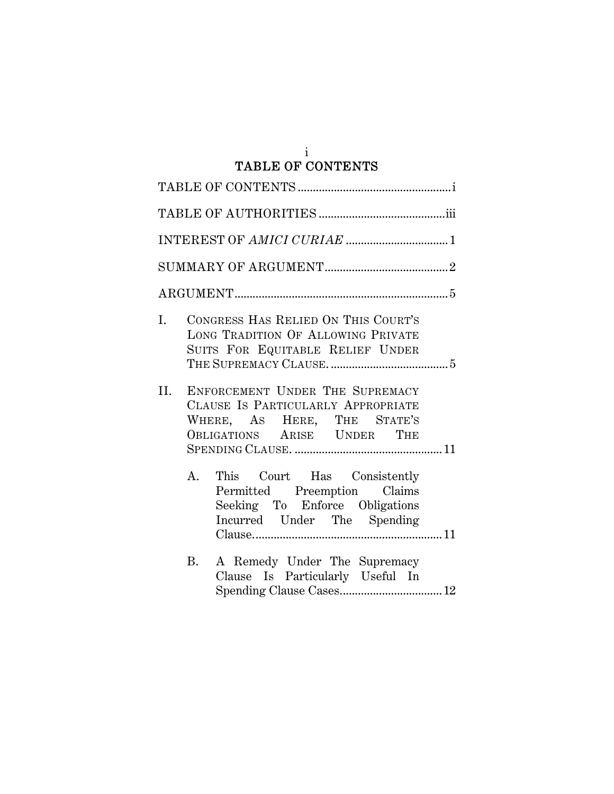#### i TABLE OF CONTENTS

| I.  | CONGRESS HAS RELIED ON THIS COURT'S<br>LONG TRADITION OF ALLOWING PRIVATE<br>SUITS FOR EQUITABLE RELIEF UNDER                       |  |
|-----|-------------------------------------------------------------------------------------------------------------------------------------|--|
| II. | ENFORCEMENT UNDER THE SUPREMACY<br>CLAUSE IS PARTICULARLY APPROPRIATE<br>WHERE, AS HERE, THE STATE'S<br>OBLIGATIONS ARISE UNDER THE |  |
| A.  | This Court Has Consistently<br>Permitted Preemption Claims<br>Seeking To Enforce Obligations<br>Incurred Under The Spending         |  |
| B.  | A Remedy Under The Supremacy<br>Clause Is Particularly Useful In                                                                    |  |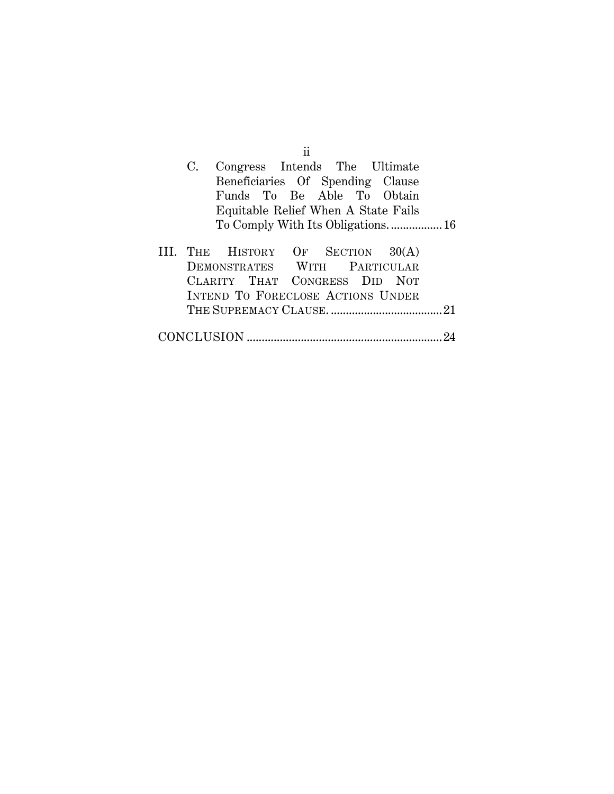|                                     |                                   | ŤŤ |  |  |  |
|-------------------------------------|-----------------------------------|----|--|--|--|
| C.                                  | Congress Intends The Ultimate     |    |  |  |  |
|                                     | Beneficiaries Of Spending Clause  |    |  |  |  |
|                                     | Funds To Be Able To Obtain        |    |  |  |  |
| Equitable Relief When A State Fails |                                   |    |  |  |  |
|                                     | To Comply With Its Obligations 16 |    |  |  |  |
|                                     |                                   |    |  |  |  |
|                                     | THE HISTORY OF SECTION 30(A)      |    |  |  |  |
|                                     | DEMONSTRATES WITH PARTICULAR      |    |  |  |  |
|                                     | CLARITY THAT CONGRESS DID NOT     |    |  |  |  |
|                                     | INTEND TO FORECLOSE ACTIONS UNDER |    |  |  |  |
|                                     |                                   |    |  |  |  |
|                                     |                                   |    |  |  |  |
|                                     |                                   |    |  |  |  |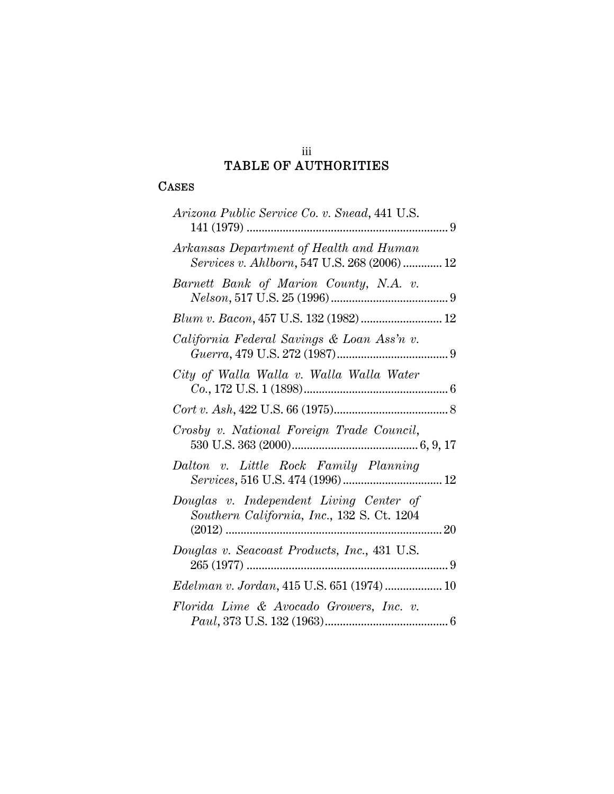## iii TABLE OF AUTHORITIES

# CASES

| Arizona Public Service Co. v. Snead, 441 U.S.                                           |
|-----------------------------------------------------------------------------------------|
| Arkansas Department of Health and Human<br>Services v. Ahlborn, 547 U.S. 268 (2006)  12 |
| Barnett Bank of Marion County, N.A. v.                                                  |
|                                                                                         |
| California Federal Savings & Loan Ass'n v.                                              |
| City of Walla Walla v. Walla Walla Water                                                |
|                                                                                         |
| Crosby v. National Foreign Trade Council,                                               |
| Dalton v. Little Rock Family Planning                                                   |
| Douglas v. Independent Living Center of<br>Southern California, Inc., 132 S. Ct. 1204   |
| Douglas v. Seacoast Products, Inc., 431 U.S.                                            |
| Edelman v. Jordan, 415 U.S. 651 (1974)  10                                              |
| Florida Lime & Avocado Growers, Inc. v.                                                 |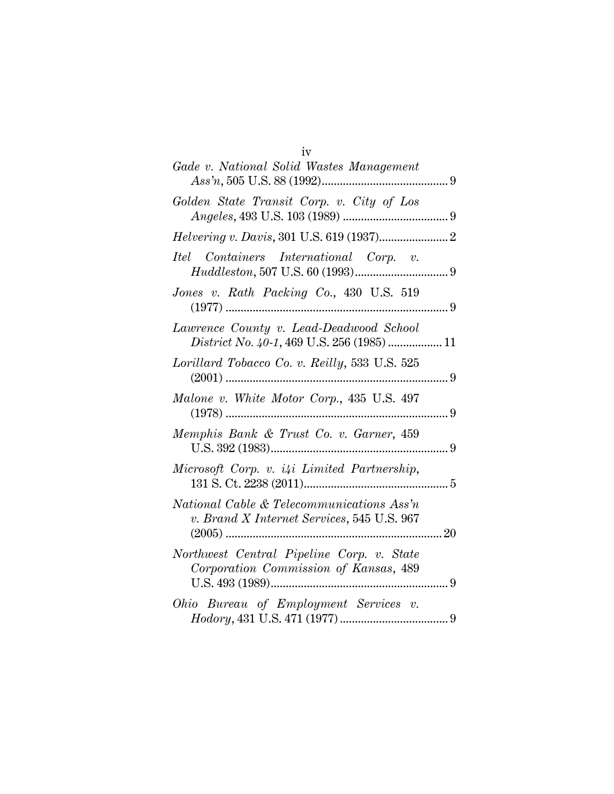| iv                                                                                      |  |
|-----------------------------------------------------------------------------------------|--|
| Gade v. National Solid Wastes Management                                                |  |
| Golden State Transit Corp. v. City of Los                                               |  |
|                                                                                         |  |
| Itel Containers International Corp. v.                                                  |  |
| Jones v. Rath Packing Co., 430 U.S. 519                                                 |  |
| Lawrence County v. Lead-Deadwood School<br>District No. 40-1, 469 U.S. 256 (1985)  11   |  |
| Lorillard Tobacco Co. v. Reilly, 533 U.S. 525                                           |  |
| Malone v. White Motor Corp., 435 U.S. 497                                               |  |
| Memphis Bank & Trust Co. v. Garner, 459                                                 |  |
| Microsoft Corp. v. i4i Limited Partnership,                                             |  |
| National Cable & Telecommunications Ass'n<br>v. Brand X Internet Services, 545 U.S. 967 |  |
| Northwest Central Pipeline Corp. v. State<br>Corporation Commission of Kansas, 489      |  |
| Ohio Bureau of Employment Services v.                                                   |  |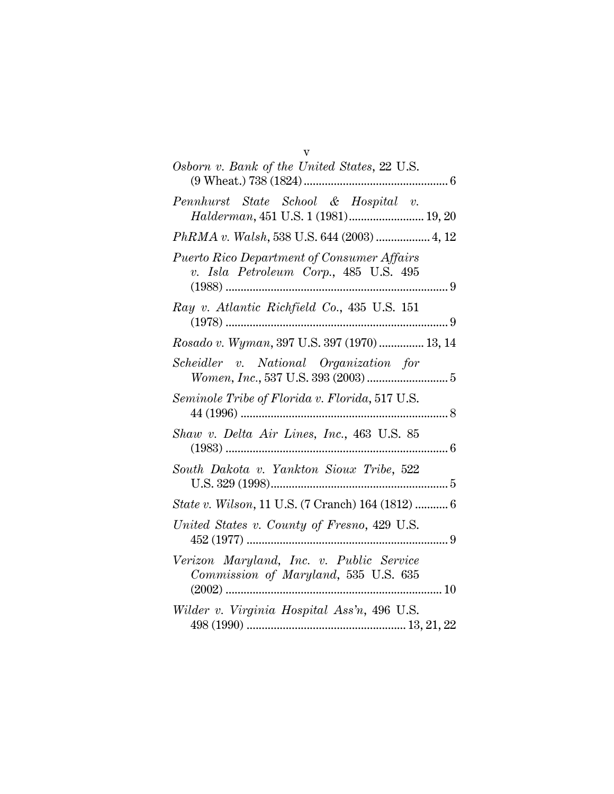| v                                                                                          |
|--------------------------------------------------------------------------------------------|
| Osborn v. Bank of the United States, 22 U.S.<br>$(9 \text{ Wheat.})\,738\,(1824) \dots$    |
| Pennhurst State School & Hospital v.<br>Halderman, 451 U.S. 1 (1981) 19, 20                |
| PhRMA v. Walsh, 538 U.S. 644 (2003)  4, 12                                                 |
| <b>Puerto Rico Department of Consumer Affairs</b><br>v. Isla Petroleum Corp., 485 U.S. 495 |
| Ray v. Atlantic Richfield Co., 435 U.S. 151                                                |
| Rosado v. Wyman, 397 U.S. 397 (1970)  13, 14                                               |
| Scheidler v. National Organization for<br>$Women, Inc., 537 U.S. 393 (2003) \dots$         |
| Seminole Tribe of Florida v. Florida, 517 U.S.                                             |
| Shaw v. Delta Air Lines, Inc., 463 U.S. 85                                                 |
| South Dakota v. Yankton Sioux Tribe, 522                                                   |
| <i>State v. Wilson,</i> 11 U.S. (7 Cranch) 164 (1812)  6                                   |
| United States v. County of Fresno, 429 U.S.                                                |
| Verizon Maryland, Inc. v. Public Service<br>Commission of Maryland, 535 U.S. 635           |
| Wilder v. Virginia Hospital Ass'n, 496 U.S.                                                |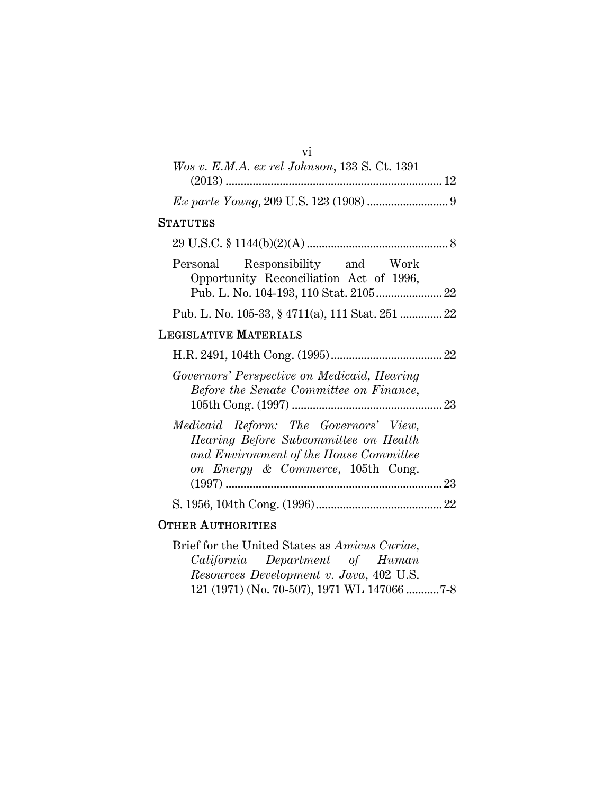| VÍ                                                                                                                                                            |
|---------------------------------------------------------------------------------------------------------------------------------------------------------------|
| Wos v. E.M.A. ex rel Johnson, 133 S. Ct. 1391                                                                                                                 |
|                                                                                                                                                               |
|                                                                                                                                                               |
| <b>STATUTES</b>                                                                                                                                               |
|                                                                                                                                                               |
| Responsibility and Work<br>Personal<br>Opportunity Reconciliation Act of 1996,                                                                                |
| Pub. L. No. 105-33, § 4711(a), 111 Stat. 251  22                                                                                                              |
| <b>LEGISLATIVE MATERIALS</b>                                                                                                                                  |
|                                                                                                                                                               |
| Governors' Perspective on Medicaid, Hearing<br>Before the Senate Committee on Finance,                                                                        |
| Medicaid Reform: The Governors' View,<br>Hearing Before Subcommittee on Health<br>and Environment of the House Committee<br>on Energy & Commerce, 105th Cong. |
|                                                                                                                                                               |
| <b>OTHER AUTHORITIES</b>                                                                                                                                      |

Brief for the United States as *Amicus Curiae, California Department of Human Resources Development v. Java*, 402 U.S. 121 (1971) (No. 70-507), 1971 WL 147066 ........... 7-8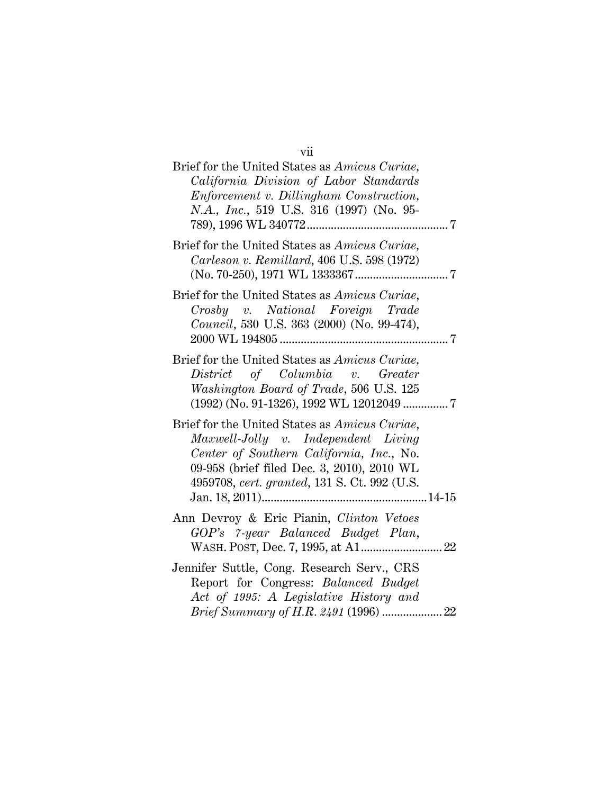| Brief for the United States as Amicus Curiae,<br>California Division of Labor Standards<br>Enforcement v. Dillingham Construction,<br>N.A., Inc., 519 U.S. 316 (1997) (No. 95-                                                 |  |
|--------------------------------------------------------------------------------------------------------------------------------------------------------------------------------------------------------------------------------|--|
| Brief for the United States as Amicus Curiae,<br>Carleson v. Remillard, 406 U.S. 598 (1972)                                                                                                                                    |  |
| Brief for the United States as Amicus Curiae,<br>Crosby v. National Foreign Trade<br>Council, 530 U.S. 363 (2000) (No. 99-474),                                                                                                |  |
| Brief for the United States as Amicus Curiae,<br>District of Columbia v. Greater<br>Washington Board of Trade, 506 U.S. 125                                                                                                    |  |
| Brief for the United States as Amicus Curiae,<br>Maxwell-Jolly v. Independent Living<br>Center of Southern California, Inc., No.<br>09-958 (brief filed Dec. 3, 2010), 2010 WL<br>4959708, cert. granted, 131 S. Ct. 992 (U.S. |  |
| Ann Devroy & Eric Pianin, Clinton Vetoes<br>GOP's 7-year Balanced Budget Plan,                                                                                                                                                 |  |
| Jennifer Suttle, Cong. Research Serv., CRS<br>Report for Congress: Balanced Budget<br>Act of 1995: A Legislative History and                                                                                                   |  |

vii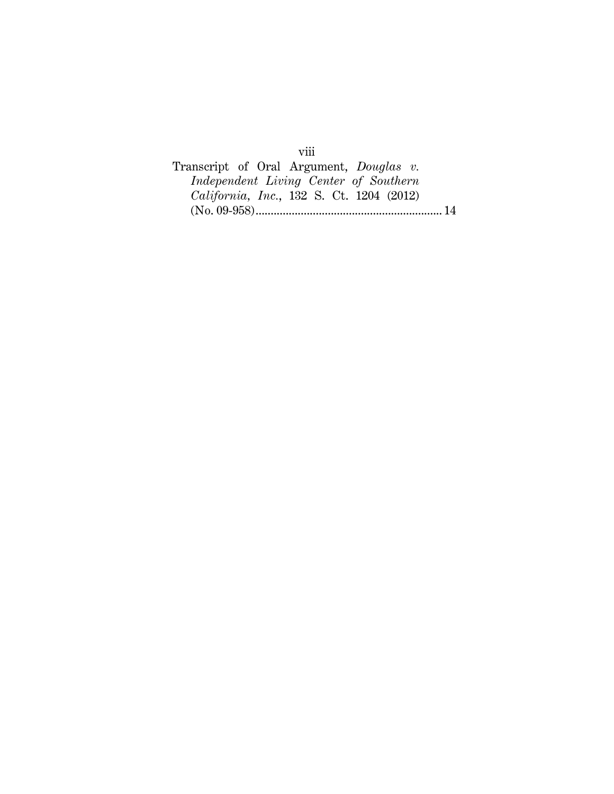Transcript of Oral Argument, *Douglas v. Independent Living Center of Southern California, Inc.*, 132 S. Ct. 1204 (2012) (No. 09-958) .............................................................. 14

viii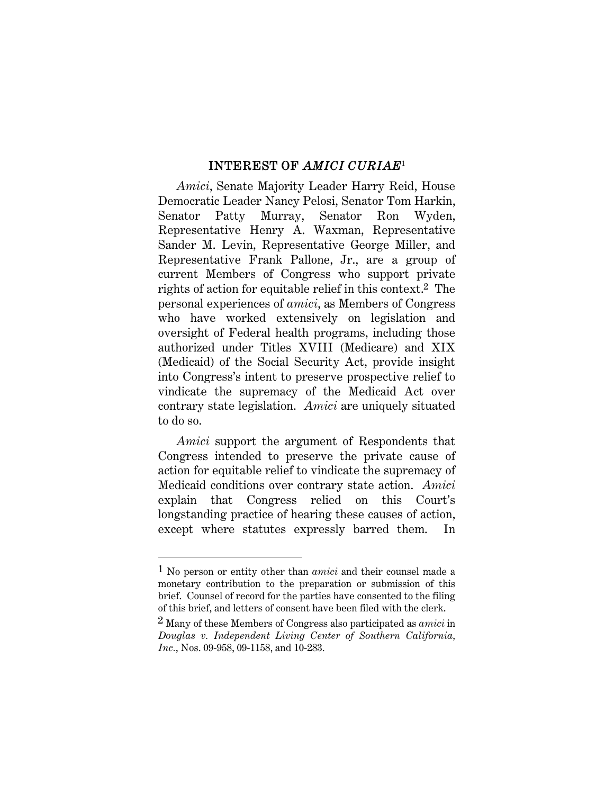## INTEREST OF *AMICI CURIAE*<sup>1</sup>

*Amici*, Senate Majority Leader Harry Reid, House Democratic Leader Nancy Pelosi, Senator Tom Harkin, Senator Patty Murray, Senator Ron Wyden, Representative Henry A. Waxman, Representative Sander M. Levin, Representative George Miller, and Representative Frank Pallone, Jr., are a group of current Members of Congress who support private rights of action for equitable relief in this context.2 The personal experiences of *amici*, as Members of Congress who have worked extensively on legislation and oversight of Federal health programs, including those authorized under Titles XVIII (Medicare) and XIX (Medicaid) of the Social Security Act, provide insight into Congress's intent to preserve prospective relief to vindicate the supremacy of the Medicaid Act over contrary state legislation. *Amici* are uniquely situated to do so.

*Amici* support the argument of Respondents that Congress intended to preserve the private cause of action for equitable relief to vindicate the supremacy of Medicaid conditions over contrary state action. *Amici* explain that Congress relied on this Court's longstanding practice of hearing these causes of action, except where statutes expressly barred them. In

<sup>1</sup> No person or entity other than *amici* and their counsel made a monetary contribution to the preparation or submission of this brief. Counsel of record for the parties have consented to the filing of this brief, and letters of consent have been filed with the clerk.

<sup>2</sup> Many of these Members of Congress also participated as *amici* in *Douglas v. Independent Living Center of Southern California, Inc.*, Nos. 09-958, 09-1158, and 10-283.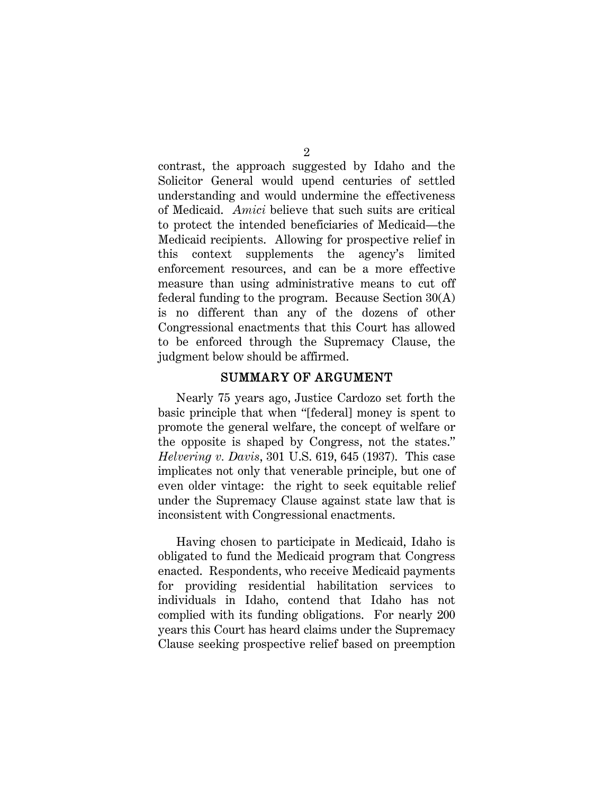contrast, the approach suggested by Idaho and the Solicitor General would upend centuries of settled understanding and would undermine the effectiveness of Medicaid. *Amici* believe that such suits are critical to protect the intended beneficiaries of Medicaid—the Medicaid recipients. Allowing for prospective relief in this context supplements the agency's limited enforcement resources, and can be a more effective measure than using administrative means to cut off federal funding to the program. Because Section 30(A) is no different than any of the dozens of other Congressional enactments that this Court has allowed to be enforced through the Supremacy Clause, the judgment below should be affirmed.

#### SUMMARY OF ARGUMENT

Nearly 75 years ago, Justice Cardozo set forth the basic principle that when "[federal] money is spent to promote the general welfare, the concept of welfare or the opposite is shaped by Congress, not the states." *Helvering v. Davis*, 301 U.S. 619, 645 (1937). This case implicates not only that venerable principle, but one of even older vintage: the right to seek equitable relief under the Supremacy Clause against state law that is inconsistent with Congressional enactments.

Having chosen to participate in Medicaid, Idaho is obligated to fund the Medicaid program that Congress enacted. Respondents, who receive Medicaid payments for providing residential habilitation services to individuals in Idaho, contend that Idaho has not complied with its funding obligations. For nearly 200 years this Court has heard claims under the Supremacy Clause seeking prospective relief based on preemption

 $\mathcal{D}_{\mathcal{L}}$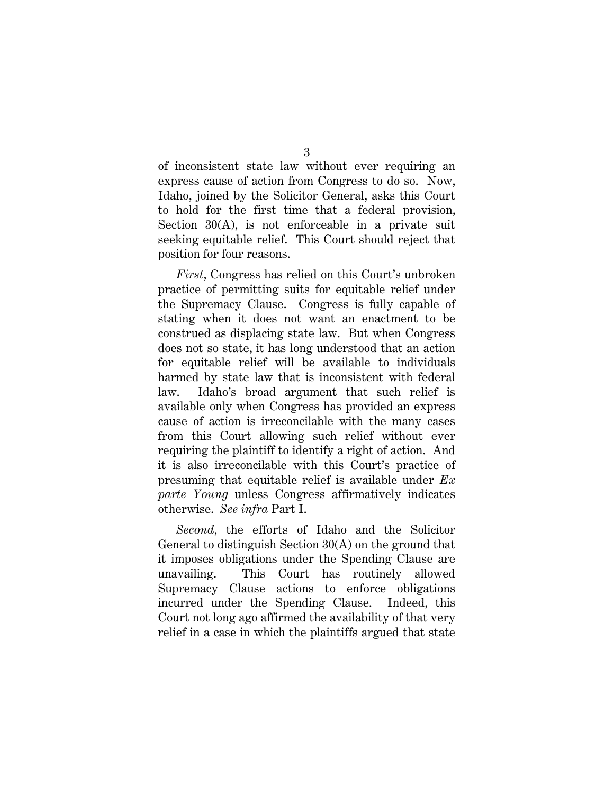of inconsistent state law without ever requiring an express cause of action from Congress to do so. Now, Idaho, joined by the Solicitor General, asks this Court to hold for the first time that a federal provision, Section 30(A), is not enforceable in a private suit seeking equitable relief. This Court should reject that position for four reasons.

*First*, Congress has relied on this Court's unbroken practice of permitting suits for equitable relief under the Supremacy Clause. Congress is fully capable of stating when it does not want an enactment to be construed as displacing state law. But when Congress does not so state, it has long understood that an action for equitable relief will be available to individuals harmed by state law that is inconsistent with federal law. Idaho's broad argument that such relief is available only when Congress has provided an express cause of action is irreconcilable with the many cases from this Court allowing such relief without ever requiring the plaintiff to identify a right of action. And it is also irreconcilable with this Court's practice of presuming that equitable relief is available under *Ex parte Young* unless Congress affirmatively indicates otherwise. *See infra* Part I.

*Second*, the efforts of Idaho and the Solicitor General to distinguish Section 30(A) on the ground that it imposes obligations under the Spending Clause are unavailing. This Court has routinely allowed Supremacy Clause actions to enforce obligations incurred under the Spending Clause. Indeed, this Court not long ago affirmed the availability of that very relief in a case in which the plaintiffs argued that state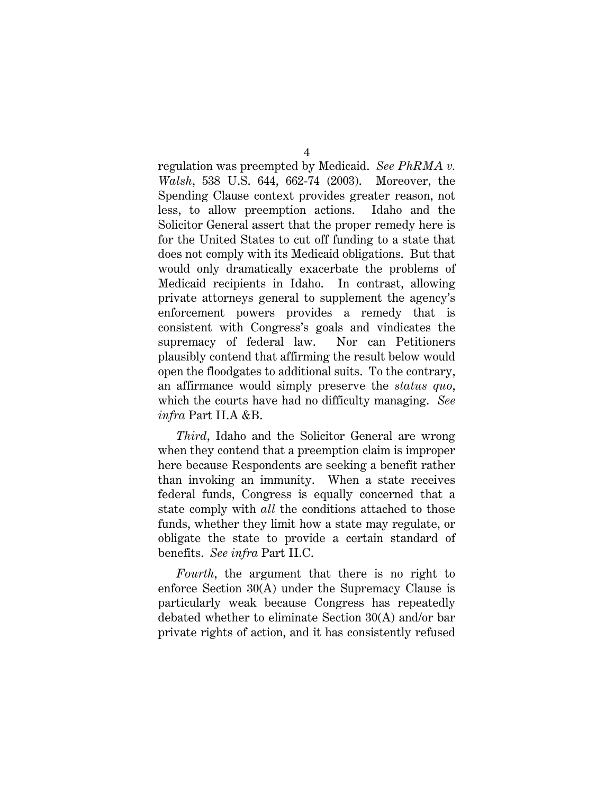$\Delta$ 

regulation was preempted by Medicaid. *See PhRMA v. Walsh*, 538 U.S. 644, 662-74 (2003). Moreover, the Spending Clause context provides greater reason, not less, to allow preemption actions. Idaho and the Solicitor General assert that the proper remedy here is for the United States to cut off funding to a state that does not comply with its Medicaid obligations. But that would only dramatically exacerbate the problems of Medicaid recipients in Idaho. In contrast, allowing private attorneys general to supplement the agency's enforcement powers provides a remedy that is consistent with Congress's goals and vindicates the supremacy of federal law. Nor can Petitioners plausibly contend that affirming the result below would open the floodgates to additional suits. To the contrary, an affirmance would simply preserve the *status quo*, which the courts have had no difficulty managing. *See infra* Part II.A &B.

*Third*, Idaho and the Solicitor General are wrong when they contend that a preemption claim is improper here because Respondents are seeking a benefit rather than invoking an immunity. When a state receives federal funds, Congress is equally concerned that a state comply with *all* the conditions attached to those funds, whether they limit how a state may regulate, or obligate the state to provide a certain standard of benefits. *See infra* Part II.C.

*Fourth*, the argument that there is no right to enforce Section 30(A) under the Supremacy Clause is particularly weak because Congress has repeatedly debated whether to eliminate Section 30(A) and/or bar private rights of action, and it has consistently refused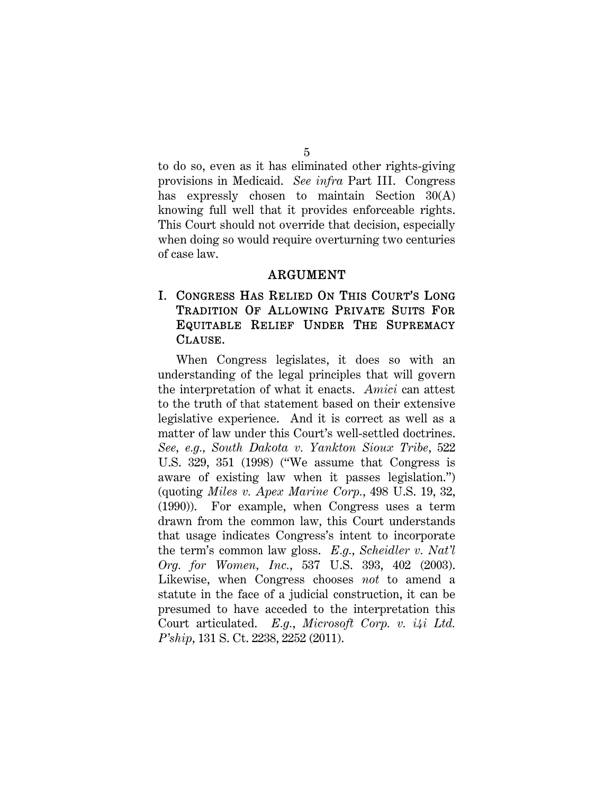to do so, even as it has eliminated other rights-giving provisions in Medicaid. *See infra* Part III. Congress has expressly chosen to maintain Section 30(A) knowing full well that it provides enforceable rights. This Court should not override that decision, especially when doing so would require overturning two centuries of case law.

#### ARGUMENT

# I. CONGRESS HAS RELIED ON THIS COURT'S LONG TRADITION OF ALLOWING PRIVATE SUITS FOR EQUITABLE RELIEF UNDER THE SUPREMACY CLAUSE.

When Congress legislates, it does so with an understanding of the legal principles that will govern the interpretation of what it enacts. *Amici* can attest to the truth of that statement based on their extensive legislative experience. And it is correct as well as a matter of law under this Court's well-settled doctrines. *See, e.g., South Dakota v. Yankton Sioux Tribe*, 522 U.S. 329, 351 (1998) ("We assume that Congress is aware of existing law when it passes legislation.") (quoting *Miles v. Apex Marine Corp.*, 498 U.S. 19, 32, (1990)). For example, when Congress uses a term drawn from the common law, this Court understands that usage indicates Congress's intent to incorporate the term's common law gloss. *E.g.*, *Scheidler v. Nat'l Org. for Women, Inc.*, 537 U.S. 393, 402 (2003). Likewise, when Congress chooses *not* to amend a statute in the face of a judicial construction, it can be presumed to have acceded to the interpretation this Court articulated. *E.g.*, *Microsoft Corp. v. i4i Ltd. P'ship*, 131 S. Ct. 2238, 2252 (2011).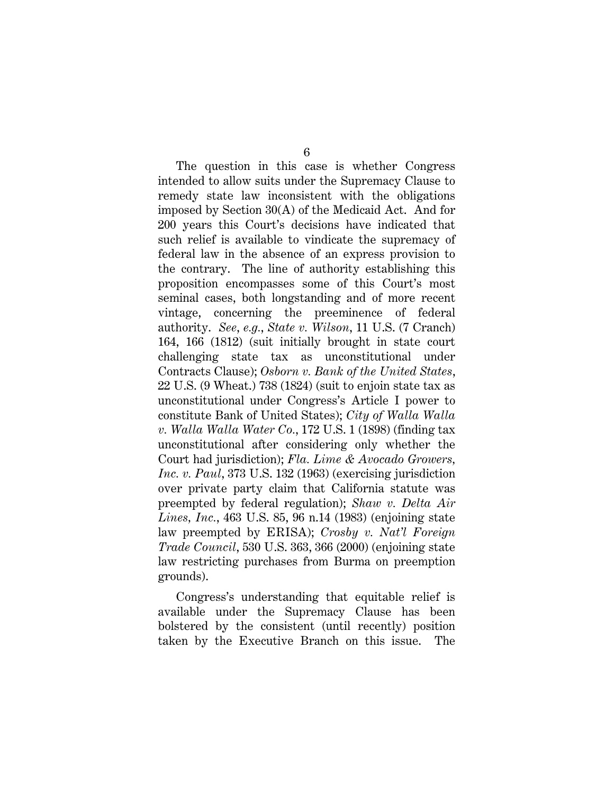The question in this case is whether Congress intended to allow suits under the Supremacy Clause to remedy state law inconsistent with the obligations imposed by Section 30(A) of the Medicaid Act. And for 200 years this Court's decisions have indicated that such relief is available to vindicate the supremacy of federal law in the absence of an express provision to the contrary. The line of authority establishing this proposition encompasses some of this Court's most seminal cases, both longstanding and of more recent vintage, concerning the preeminence of federal authority. *See*, *e.g.*, *State v. Wilson*, 11 U.S. (7 Cranch) 164, 166 (1812) (suit initially brought in state court challenging state tax as unconstitutional under Contracts Clause); *Osborn v. Bank of the United States*, 22 U.S. (9 Wheat.) 738 (1824) (suit to enjoin state tax as unconstitutional under Congress's Article I power to constitute Bank of United States); *City of Walla Walla v. Walla Walla Water Co.*, 172 U.S. 1 (1898) (finding tax unconstitutional after considering only whether the Court had jurisdiction); *Fla. Lime & Avocado Growers, Inc. v. Paul*, 373 U.S. 132 (1963) (exercising jurisdiction over private party claim that California statute was preempted by federal regulation); *Shaw v. Delta Air Lines, Inc.*, 463 U.S. 85, 96 n.14 (1983) (enjoining state law preempted by ERISA); *Crosby v. Nat'l Foreign Trade Council*, 530 U.S. 363, 366 (2000) (enjoining state law restricting purchases from Burma on preemption grounds).

Congress's understanding that equitable relief is available under the Supremacy Clause has been bolstered by the consistent (until recently) position taken by the Executive Branch on this issue. The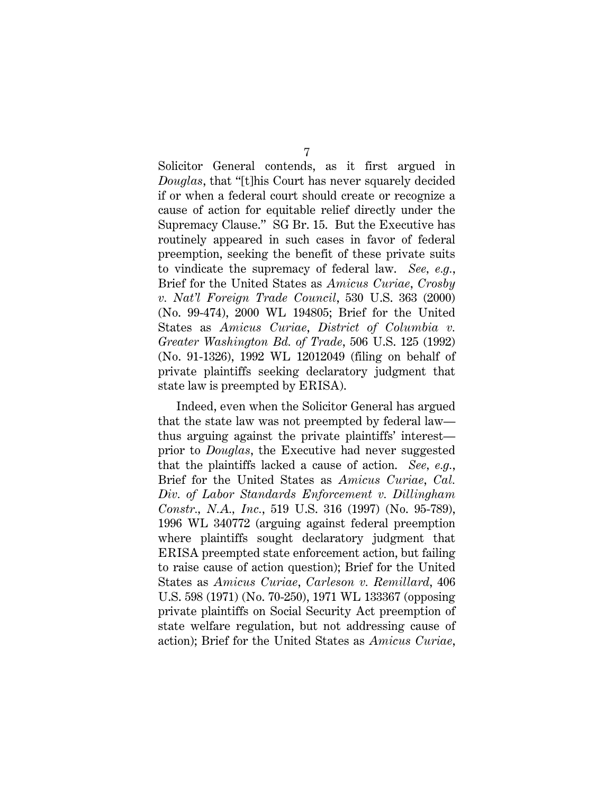7

Solicitor General contends, as it first argued in *Douglas*, that "[t]his Court has never squarely decided if or when a federal court should create or recognize a cause of action for equitable relief directly under the Supremacy Clause." SG Br. 15. But the Executive has routinely appeared in such cases in favor of federal preemption, seeking the benefit of these private suits to vindicate the supremacy of federal law. *See, e.g.*, Brief for the United States as *Amicus Curiae*, *Crosby v. Nat'l Foreign Trade Council*, 530 U.S. 363 (2000) (No. 99-474), 2000 WL 194805; Brief for the United States as *Amicus Curiae*, *District of Columbia v. Greater Washington Bd. of Trade*, 506 U.S. 125 (1992) (No. 91-1326), 1992 WL 12012049 (filing on behalf of private plaintiffs seeking declaratory judgment that state law is preempted by ERISA).

Indeed, even when the Solicitor General has argued that the state law was not preempted by federal law thus arguing against the private plaintiffs' interest prior to *Douglas*, the Executive had never suggested that the plaintiffs lacked a cause of action. *See, e.g.*, Brief for the United States as *Amicus Curiae*, *Cal. Div. of Labor Standards Enforcement v. Dillingham Constr., N.A., Inc.*, 519 U.S. 316 (1997) (No. 95-789), 1996 WL 340772 (arguing against federal preemption where plaintiffs sought declaratory judgment that ERISA preempted state enforcement action, but failing to raise cause of action question); Brief for the United States as *Amicus Curiae*, *Carleson v. Remillard*, 406 U.S. 598 (1971) (No. 70-250), 1971 WL 133367 (opposing private plaintiffs on Social Security Act preemption of state welfare regulation, but not addressing cause of action); Brief for the United States as *Amicus Curiae*,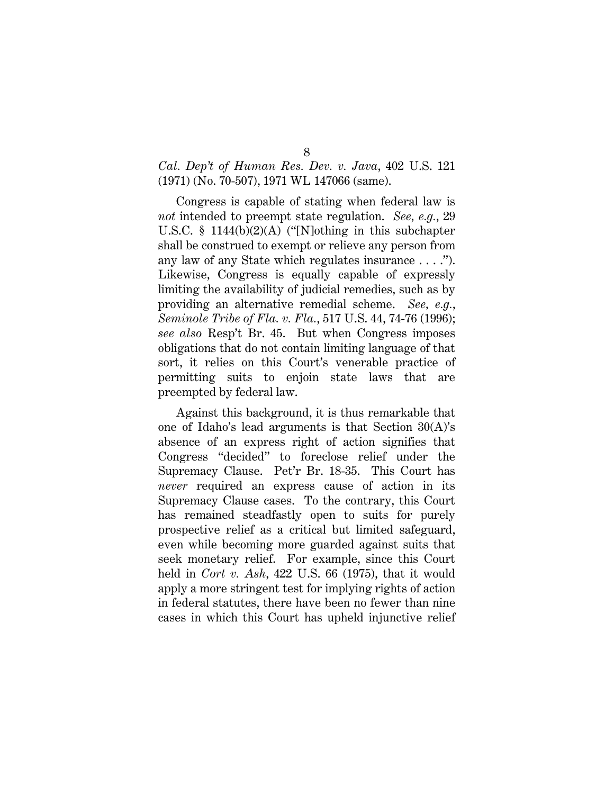## *Cal. Dep't of Human Res. Dev. v. Java*, 402 U.S. 121 (1971) (No. 70-507), 1971 WL 147066 (same).

Congress is capable of stating when federal law is *not* intended to preempt state regulation. *See, e.g.*, 29 U.S.C. § 1144(b)(2)(A) ("[N]othing in this subchapter shall be construed to exempt or relieve any person from any law of any State which regulates insurance . . . ."). Likewise, Congress is equally capable of expressly limiting the availability of judicial remedies, such as by providing an alternative remedial scheme. *See, e.g.*, *Seminole Tribe of Fla. v. Fla.*, 517 U.S. 44, 74-76 (1996); *see also* Resp't Br. 45. But when Congress imposes obligations that do not contain limiting language of that sort, it relies on this Court's venerable practice of permitting suits to enjoin state laws that are preempted by federal law.

Against this background, it is thus remarkable that one of Idaho's lead arguments is that Section 30(A)'s absence of an express right of action signifies that Congress "decided" to foreclose relief under the Supremacy Clause. Pet'r Br. 18-35. This Court has *never* required an express cause of action in its Supremacy Clause cases. To the contrary, this Court has remained steadfastly open to suits for purely prospective relief as a critical but limited safeguard, even while becoming more guarded against suits that seek monetary relief. For example, since this Court held in *Cort v. Ash*, 422 U.S. 66 (1975), that it would apply a more stringent test for implying rights of action in federal statutes, there have been no fewer than nine cases in which this Court has upheld injunctive relief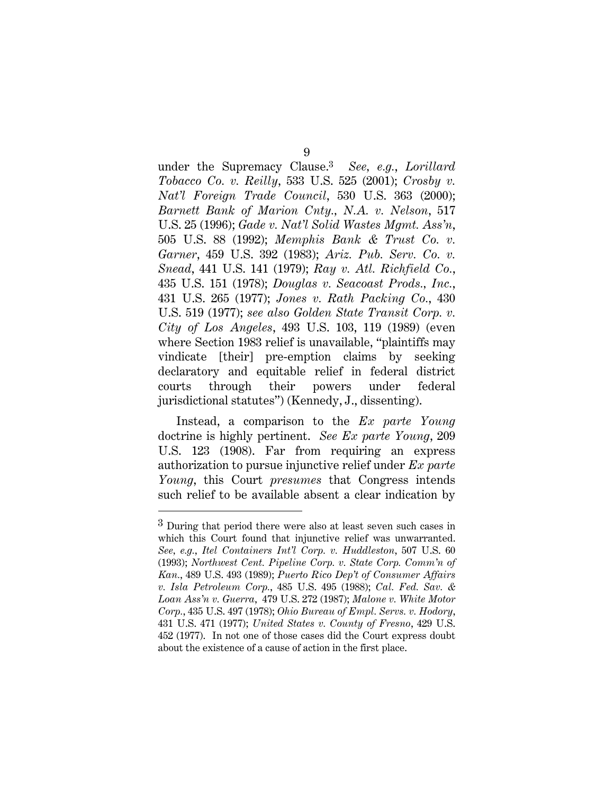under the Supremacy Clause.3 *See, e.g.*, *Lorillard Tobacco Co. v. Reilly*, 533 U.S. 525 (2001); *Crosby v. Nat'l Foreign Trade Council*, 530 U.S. 363 (2000); *Barnett Bank of Marion Cnty., N.A. v. Nelson*, 517 U.S. 25 (1996); *Gade v. Nat'l Solid Wastes Mgmt. Ass'n*, 505 U.S. 88 (1992); *Memphis Bank & Trust Co. v. Garner*, 459 U.S. 392 (1983); *Ariz. Pub. Serv. Co. v. Snead*, 441 U.S. 141 (1979); *Ray v. Atl. Richfield Co.*, 435 U.S. 151 (1978); *Douglas v. Seacoast Prods., Inc.*, 431 U.S. 265 (1977); *Jones v. Rath Packing Co.*, 430 U.S. 519 (1977); *see also Golden State Transit Corp. v. City of Los Angeles*, 493 U.S. 103, 119 (1989) (even where Section 1983 relief is unavailable, "plaintiffs may vindicate [their] pre-emption claims by seeking declaratory and equitable relief in federal district courts through their powers under federal jurisdictional statutes") (Kennedy, J., dissenting).

Instead, a comparison to the *Ex parte Young* doctrine is highly pertinent. *See Ex parte Young*, 209 U.S. 123 (1908). Far from requiring an express authorization to pursue injunctive relief under *Ex parte Young*, this Court *presumes* that Congress intends such relief to be available absent a clear indication by

 $\overline{a}$ 

<sup>3</sup> During that period there were also at least seven such cases in which this Court found that injunctive relief was unwarranted. *See, e.g.*, *Itel Containers Int'l Corp. v. Huddleston*, 507 U.S. 60 (1993); *Northwest Cent. Pipeline Corp. v. State Corp. Comm'n of Kan.*, 489 U.S. 493 (1989); *Puerto Rico Dep't of Consumer Affairs v. Isla Petroleum Corp.*, 485 U.S. 495 (1988); *Cal. Fed. Sav. & Loan Ass'n v. Guerra*, 479 U.S. 272 (1987); *Malone v. White Motor Corp.*, 435 U.S. 497 (1978); *Ohio Bureau of Empl. Servs. v. Hodory*, 431 U.S. 471 (1977); *United States v. County of Fresno*, 429 U.S. 452 (1977). In not one of those cases did the Court express doubt about the existence of a cause of action in the first place.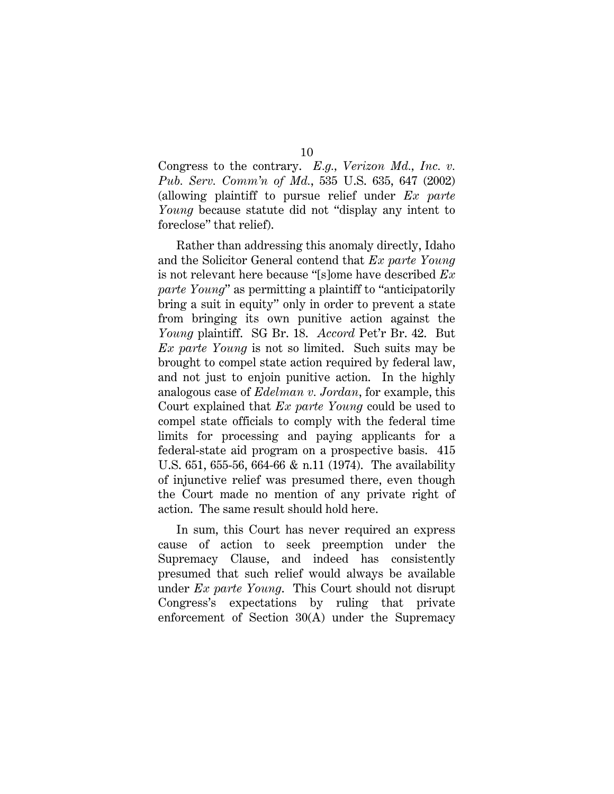Congress to the contrary. *E.g., Verizon Md., Inc. v. Pub. Serv. Comm'n of Md.*, 535 U.S. 635, 647 (2002) (allowing plaintiff to pursue relief under *Ex parte Young* because statute did not "display any intent to foreclose" that relief).

Rather than addressing this anomaly directly, Idaho and the Solicitor General contend that *Ex parte Young* is not relevant here because "[s]ome have described *Ex parte Young*" as permitting a plaintiff to "anticipatorily bring a suit in equity" only in order to prevent a state from bringing its own punitive action against the *Young* plaintiff. SG Br. 18. *Accord* Pet'r Br. 42. But *Ex parte Young* is not so limited. Such suits may be brought to compel state action required by federal law, and not just to enjoin punitive action. In the highly analogous case of *Edelman v. Jordan*, for example, this Court explained that *Ex parte Young* could be used to compel state officials to comply with the federal time limits for processing and paying applicants for a federal-state aid program on a prospective basis. 415 U.S. 651, 655-56, 664-66 & n.11 (1974). The availability of injunctive relief was presumed there, even though the Court made no mention of any private right of action. The same result should hold here.

In sum, this Court has never required an express cause of action to seek preemption under the Supremacy Clause, and indeed has consistently presumed that such relief would always be available under *Ex parte Young*.This Court should not disrupt Congress's expectations by ruling that private enforcement of Section 30(A) under the Supremacy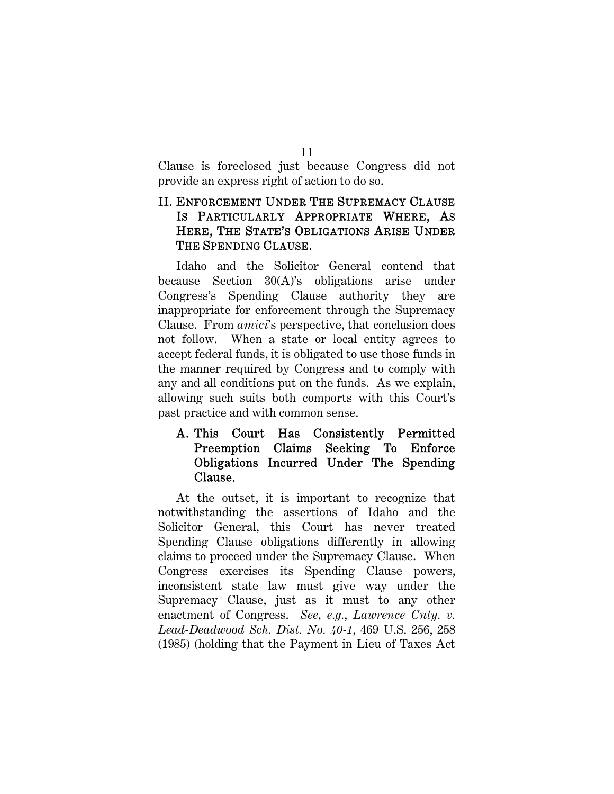11

Clause is foreclosed just because Congress did not provide an express right of action to do so.

# II. ENFORCEMENT UNDER THE SUPREMACY CLAUSE IS PARTICULARLY APPROPRIATE WHERE, AS HERE, THE STATE'S OBLIGATIONS ARISE UNDER THE SPENDING CLAUSE.

Idaho and the Solicitor General contend that because Section 30(A)'s obligations arise under Congress's Spending Clause authority they are inappropriate for enforcement through the Supremacy Clause. From *amici*'s perspective, that conclusion does not follow. When a state or local entity agrees to accept federal funds, it is obligated to use those funds in the manner required by Congress and to comply with any and all conditions put on the funds. As we explain, allowing such suits both comports with this Court's past practice and with common sense.

# A. This Court Has Consistently Permitted Preemption Claims Seeking To Enforce Obligations Incurred Under The Spending Clause.

At the outset, it is important to recognize that notwithstanding the assertions of Idaho and the Solicitor General, this Court has never treated Spending Clause obligations differently in allowing claims to proceed under the Supremacy Clause. When Congress exercises its Spending Clause powers, inconsistent state law must give way under the Supremacy Clause, just as it must to any other enactment of Congress. *See, e.g.*, *Lawrence Cnty. v. Lead-Deadwood Sch. Dist. No. 40-1*, 469 U.S. 256, 258 (1985) (holding that the Payment in Lieu of Taxes Act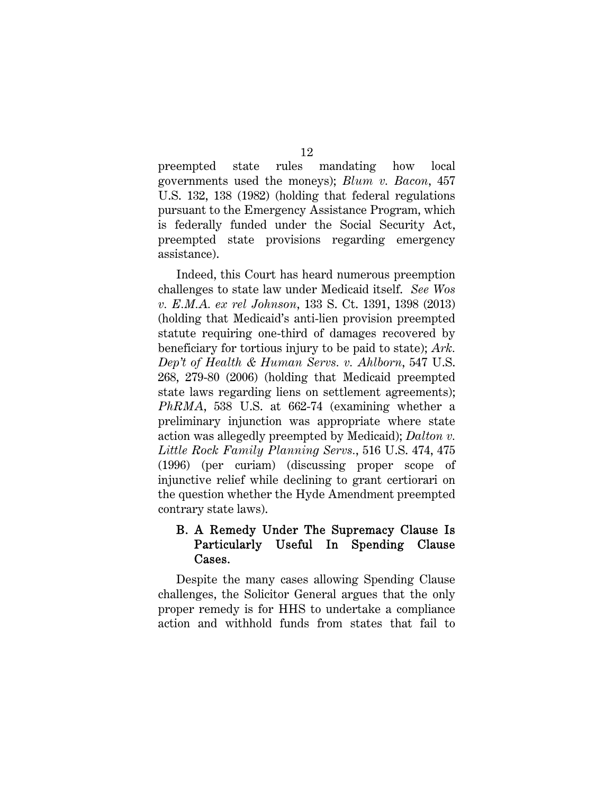preempted state rules mandating how local governments used the moneys); *Blum v. Bacon*, 457 U.S. 132, 138 (1982) (holding that federal regulations pursuant to the Emergency Assistance Program, which is federally funded under the Social Security Act, preempted state provisions regarding emergency assistance).

Indeed, this Court has heard numerous preemption challenges to state law under Medicaid itself. *See Wos v. E.M.A. ex rel Johnson*, 133 S. Ct. 1391, 1398 (2013) (holding that Medicaid's anti-lien provision preempted statute requiring one-third of damages recovered by beneficiary for tortious injury to be paid to state); *Ark. Dep't of Health & Human Servs. v. Ahlborn*, 547 U.S. 268, 279-80 (2006) (holding that Medicaid preempted state laws regarding liens on settlement agreements); *PhRMA*, 538 U.S. at 662-74 (examining whether a preliminary injunction was appropriate where state action was allegedly preempted by Medicaid); *Dalton v. Little Rock Family Planning Servs.*, 516 U.S. 474, 475 (1996) (per curiam) (discussing proper scope of injunctive relief while declining to grant certiorari on the question whether the Hyde Amendment preempted contrary state laws).

# B. A Remedy Under The Supremacy Clause Is Particularly Useful In Spending Clause Cases.

Despite the many cases allowing Spending Clause challenges, the Solicitor General argues that the only proper remedy is for HHS to undertake a compliance action and withhold funds from states that fail to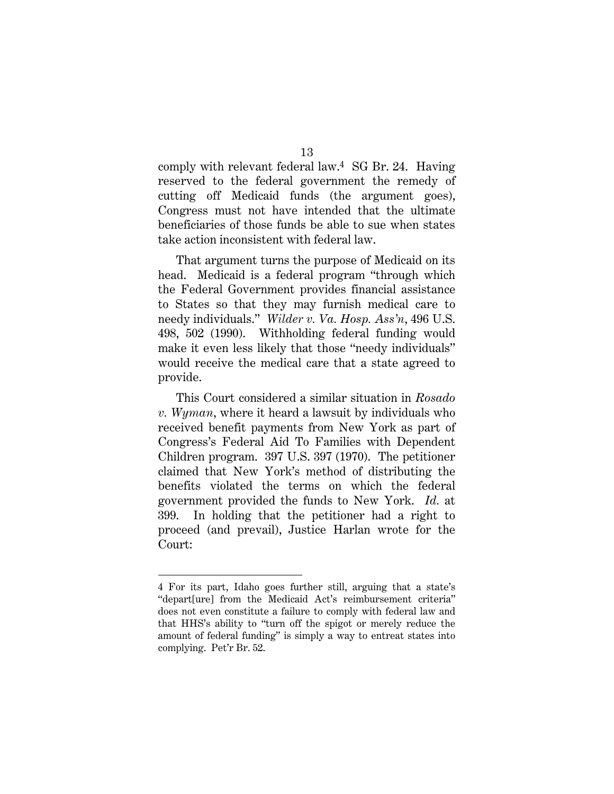comply with relevant federal law.4 SG Br. 24. Having reserved to the federal government the remedy of cutting off Medicaid funds (the argument goes), Congress must not have intended that the ultimate beneficiaries of those funds be able to sue when states take action inconsistent with federal law.

That argument turns the purpose of Medicaid on its head. Medicaid is a federal program "through which the Federal Government provides financial assistance to States so that they may furnish medical care to needy individuals." *Wilder v. Va. Hosp. Ass'n*, 496 U.S. 498, 502 (1990). Withholding federal funding would make it even less likely that those "needy individuals" would receive the medical care that a state agreed to provide.

This Court considered a similar situation in *Rosado v. Wyman*, where it heard a lawsuit by individuals who received benefit payments from New York as part of Congress's Federal Aid To Families with Dependent Children program. 397 U.S. 397 (1970). The petitioner claimed that New York's method of distributing the benefits violated the terms on which the federal government provided the funds to New York. *Id.* at 399. In holding that the petitioner had a right to proceed (and prevail), Justice Harlan wrote for the Court:

<sup>4</sup> For its part, Idaho goes further still, arguing that a state's "depart[ure] from the Medicaid Act's reimbursement criteria" does not even constitute a failure to comply with federal law and that HHS's ability to "turn off the spigot or merely reduce the amount of federal funding" is simply a way to entreat states into complying. Pet'r Br. 52.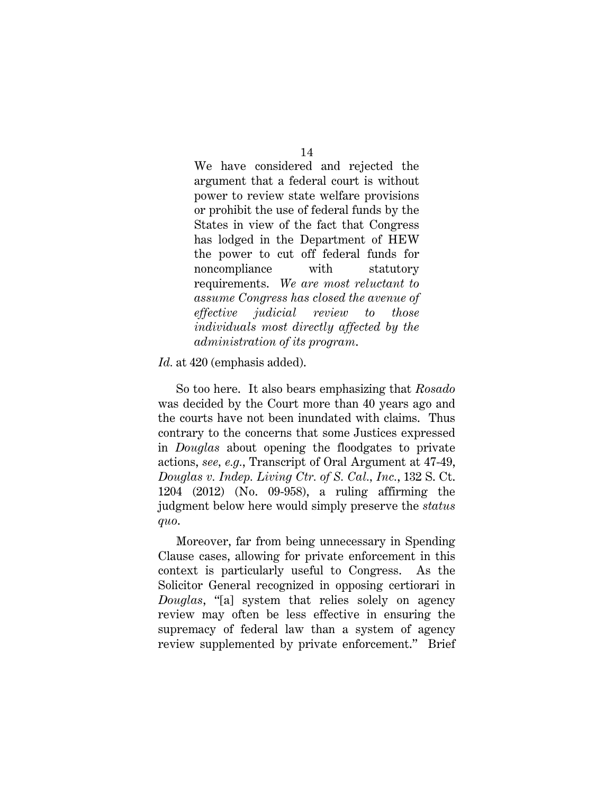14

We have considered and rejected the argument that a federal court is without power to review state welfare provisions or prohibit the use of federal funds by the States in view of the fact that Congress has lodged in the Department of HEW the power to cut off federal funds for noncompliance with statutory requirements. *We are most reluctant to assume Congress has closed the avenue of effective judicial review to those individuals most directly affected by the administration of its program*.

*Id.* at 420 (emphasis added).

So too here. It also bears emphasizing that *Rosado* was decided by the Court more than 40 years ago and the courts have not been inundated with claims. Thus contrary to the concerns that some Justices expressed in *Douglas* about opening the floodgates to private actions, *see, e.g.*, Transcript of Oral Argument at 47-49, *Douglas v. Indep. Living Ctr. of S. Cal., Inc.*, 132 S. Ct. 1204 (2012) (No. 09-958), a ruling affirming the judgment below here would simply preserve the *status quo*.

Moreover, far from being unnecessary in Spending Clause cases, allowing for private enforcement in this context is particularly useful to Congress. As the Solicitor General recognized in opposing certiorari in *Douglas*, "[a] system that relies solely on agency review may often be less effective in ensuring the supremacy of federal law than a system of agency review supplemented by private enforcement." Brief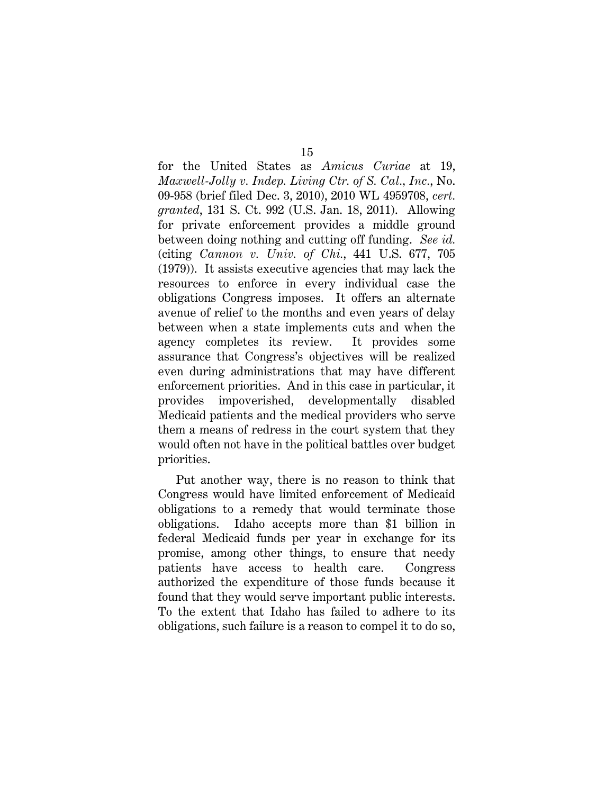for the United States as *Amicus Curiae* at 19, *Maxwell-Jolly v. Indep. Living Ctr. of S. Cal., Inc.*, No. 09-958 (brief filed Dec. 3, 2010), 2010 WL 4959708, *cert. granted*, 131 S. Ct. 992 (U.S. Jan. 18, 2011). Allowing for private enforcement provides a middle ground between doing nothing and cutting off funding. *See id.* (citing *Cannon v. Univ. of Chi.*, 441 U.S. 677, 705 (1979)). It assists executive agencies that may lack the resources to enforce in every individual case the obligations Congress imposes. It offers an alternate avenue of relief to the months and even years of delay between when a state implements cuts and when the agency completes its review. It provides some assurance that Congress's objectives will be realized even during administrations that may have different enforcement priorities. And in this case in particular, it provides impoverished, developmentally disabled Medicaid patients and the medical providers who serve them a means of redress in the court system that they would often not have in the political battles over budget priorities.

Put another way, there is no reason to think that Congress would have limited enforcement of Medicaid obligations to a remedy that would terminate those obligations. Idaho accepts more than \$1 billion in federal Medicaid funds per year in exchange for its promise, among other things, to ensure that needy patients have access to health care. Congress authorized the expenditure of those funds because it found that they would serve important public interests. To the extent that Idaho has failed to adhere to its obligations, such failure is a reason to compel it to do so,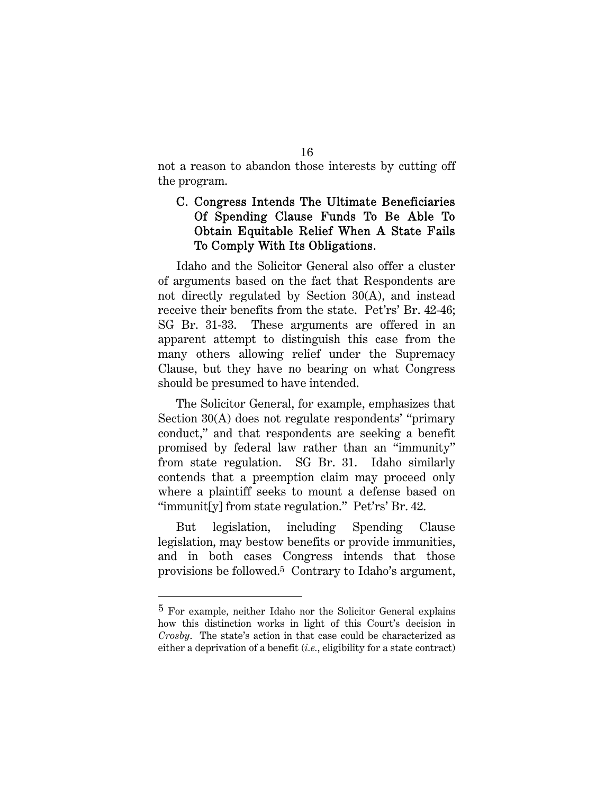not a reason to abandon those interests by cutting off the program.

## C. Congress Intends The Ultimate Beneficiaries Of Spending Clause Funds To Be Able To Obtain Equitable Relief When A State Fails To Comply With Its Obligations.

Idaho and the Solicitor General also offer a cluster of arguments based on the fact that Respondents are not directly regulated by Section 30(A), and instead receive their benefits from the state. Pet'rs' Br. 42-46; SG Br. 31-33. These arguments are offered in an apparent attempt to distinguish this case from the many others allowing relief under the Supremacy Clause, but they have no bearing on what Congress should be presumed to have intended.

The Solicitor General, for example, emphasizes that Section 30(A) does not regulate respondents' "primary conduct," and that respondents are seeking a benefit promised by federal law rather than an "immunity" from state regulation. SG Br. 31. Idaho similarly contends that a preemption claim may proceed only where a plaintiff seeks to mount a defense based on "immunit[y] from state regulation." Pet'rs' Br. 42.

But legislation, including Spending Clause legislation, may bestow benefits or provide immunities, and in both cases Congress intends that those provisions be followed.5 Contrary to Idaho's argument,

 $\overline{a}$ 

<sup>5</sup> For example, neither Idaho nor the Solicitor General explains how this distinction works in light of this Court's decision in *Crosby*. The state's action in that case could be characterized as either a deprivation of a benefit (*i.e.*, eligibility for a state contract)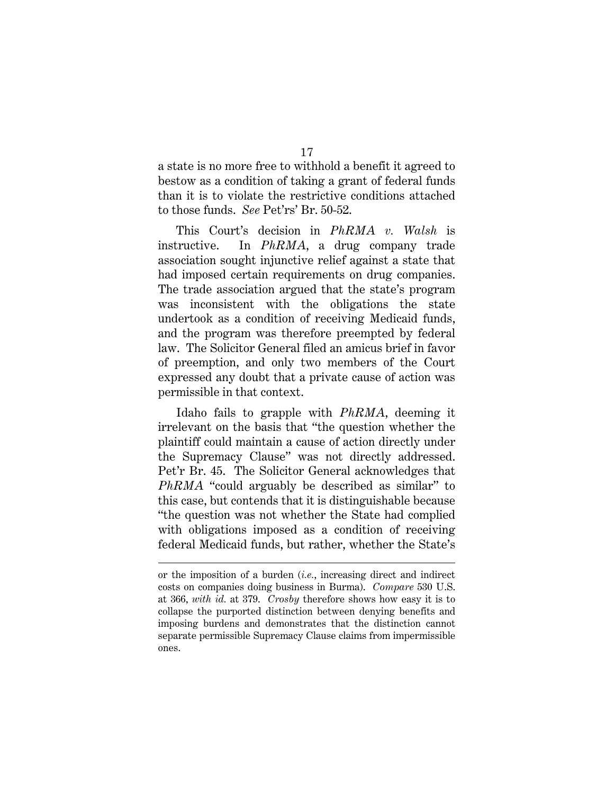a state is no more free to withhold a benefit it agreed to bestow as a condition of taking a grant of federal funds than it is to violate the restrictive conditions attached to those funds. *See* Pet'rs' Br. 50-52.

This Court's decision in *PhRMA v. Walsh* is instructive. In *PhRMA*, a drug company trade association sought injunctive relief against a state that had imposed certain requirements on drug companies. The trade association argued that the state's program was inconsistent with the obligations the state undertook as a condition of receiving Medicaid funds, and the program was therefore preempted by federal law. The Solicitor General filed an amicus brief in favor of preemption, and only two members of the Court expressed any doubt that a private cause of action was permissible in that context.

Idaho fails to grapple with *PhRMA*, deeming it irrelevant on the basis that "the question whether the plaintiff could maintain a cause of action directly under the Supremacy Clause" was not directly addressed. Pet'r Br. 45. The Solicitor General acknowledges that *PhRMA* "could arguably be described as similar" to this case, but contends that it is distinguishable because "the question was not whether the State had complied with obligations imposed as a condition of receiving federal Medicaid funds, but rather, whether the State's

 $\overline{a}$ 

or the imposition of a burden (*i.e.*, increasing direct and indirect costs on companies doing business in Burma). *Compare* 530 U.S. at 366, *with id.* at 379. *Crosby* therefore shows how easy it is to collapse the purported distinction between denying benefits and imposing burdens and demonstrates that the distinction cannot separate permissible Supremacy Clause claims from impermissible ones.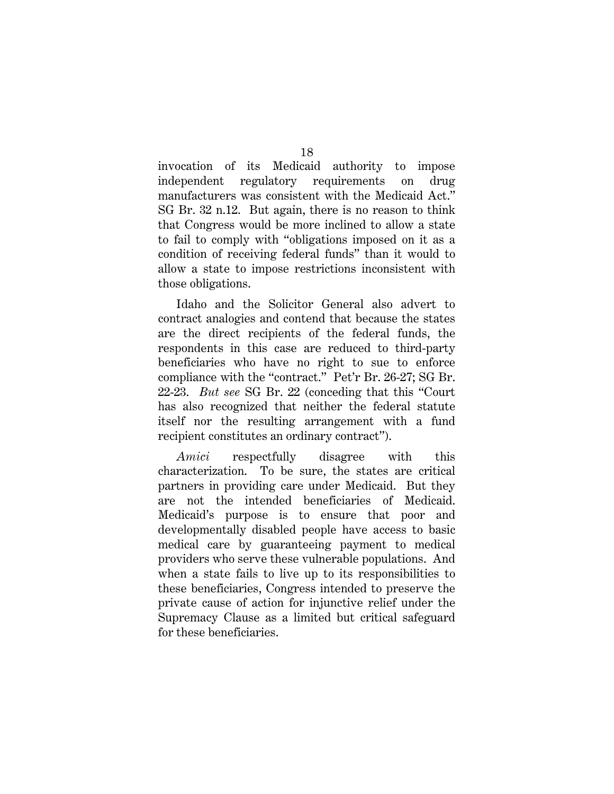invocation of its Medicaid authority to impose independent regulatory requirements on drug manufacturers was consistent with the Medicaid Act." SG Br. 32 n.12. But again, there is no reason to think that Congress would be more inclined to allow a state to fail to comply with "obligations imposed on it as a condition of receiving federal funds" than it would to allow a state to impose restrictions inconsistent with those obligations.

Idaho and the Solicitor General also advert to contract analogies and contend that because the states are the direct recipients of the federal funds, the respondents in this case are reduced to third-party beneficiaries who have no right to sue to enforce compliance with the "contract." Pet'r Br. 26-27; SG Br. 22-23. *But see* SG Br. 22 (conceding that this "Court has also recognized that neither the federal statute itself nor the resulting arrangement with a fund recipient constitutes an ordinary contract").

*Amici* respectfully disagree with this characterization. To be sure, the states are critical partners in providing care under Medicaid. But they are not the intended beneficiaries of Medicaid. Medicaid's purpose is to ensure that poor and developmentally disabled people have access to basic medical care by guaranteeing payment to medical providers who serve these vulnerable populations. And when a state fails to live up to its responsibilities to these beneficiaries, Congress intended to preserve the private cause of action for injunctive relief under the Supremacy Clause as a limited but critical safeguard for these beneficiaries.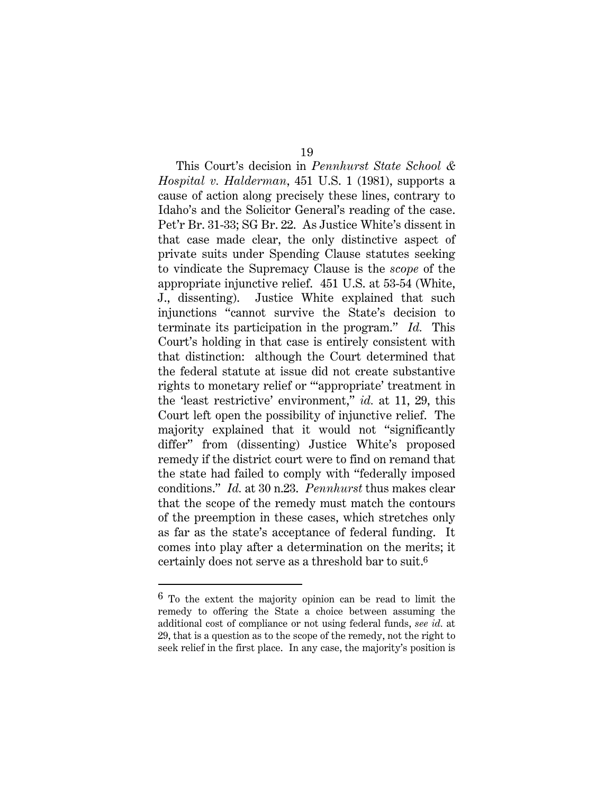This Court's decision in *Pennhurst State School & Hospital v. Halderman*, 451 U.S. 1 (1981), supports a cause of action along precisely these lines, contrary to Idaho's and the Solicitor General's reading of the case. Pet'r Br. 31-33; SG Br. 22. As Justice White's dissent in that case made clear, the only distinctive aspect of private suits under Spending Clause statutes seeking to vindicate the Supremacy Clause is the *scope* of the appropriate injunctive relief. 451 U.S. at 53-54 (White, J., dissenting). Justice White explained that such injunctions "cannot survive the State's decision to terminate its participation in the program." *Id.* This Court's holding in that case is entirely consistent with that distinction: although the Court determined that the federal statute at issue did not create substantive rights to monetary relief or "'appropriate' treatment in the 'least restrictive' environment," *id.* at 11, 29, this Court left open the possibility of injunctive relief. The majority explained that it would not "significantly differ" from (dissenting) Justice White's proposed remedy if the district court were to find on remand that the state had failed to comply with "federally imposed conditions." *Id.* at 30 n.23. *Pennhurst* thus makes clear that the scope of the remedy must match the contours of the preemption in these cases, which stretches only as far as the state's acceptance of federal funding. It comes into play after a determination on the merits; it certainly does not serve as a threshold bar to suit.6

<sup>6</sup> To the extent the majority opinion can be read to limit the remedy to offering the State a choice between assuming the additional cost of compliance or not using federal funds, *see id.* at 29, that is a question as to the scope of the remedy, not the right to seek relief in the first place. In any case, the majority's position is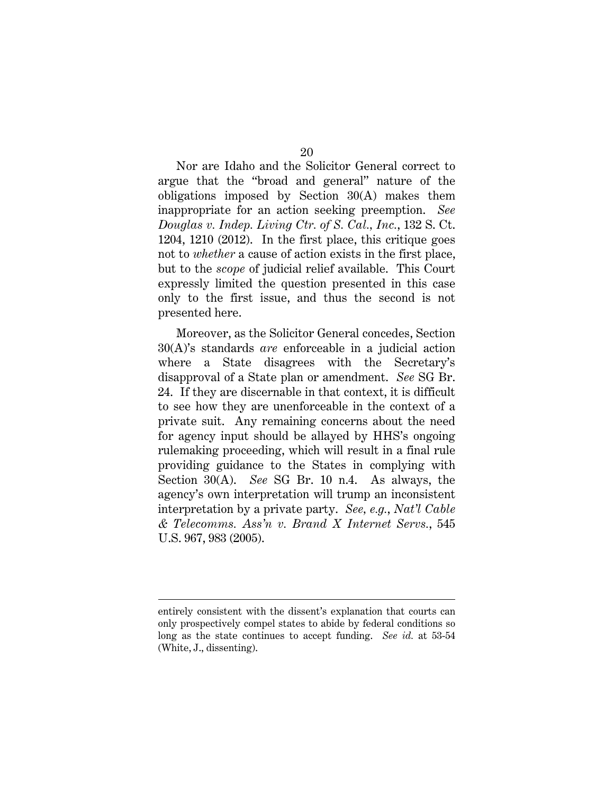Nor are Idaho and the Solicitor General correct to argue that the "broad and general" nature of the obligations imposed by Section 30(A) makes them inappropriate for an action seeking preemption. *See Douglas v. Indep. Living Ctr. of S. Cal., Inc.*, 132 S. Ct. 1204, 1210 (2012). In the first place, this critique goes not to *whether* a cause of action exists in the first place, but to the *scope* of judicial relief available. This Court expressly limited the question presented in this case only to the first issue, and thus the second is not presented here.

Moreover, as the Solicitor General concedes, Section 30(A)'s standards *are* enforceable in a judicial action where a State disagrees with the Secretary's disapproval of a State plan or amendment. *See* SG Br. 24. If they are discernable in that context, it is difficult to see how they are unenforceable in the context of a private suit. Any remaining concerns about the need for agency input should be allayed by HHS's ongoing rulemaking proceeding, which will result in a final rule providing guidance to the States in complying with Section 30(A). *See* SG Br. 10 n.4. As always, the agency's own interpretation will trump an inconsistent interpretation by a private party. *See, e.g.*, *Nat'l Cable & Telecomms. Ass'n v. Brand X Internet Servs.*, 545 U.S. 967, 983 (2005).

entirely consistent with the dissent's explanation that courts can only prospectively compel states to abide by federal conditions so long as the state continues to accept funding. *See id.* at 53-54 (White, J., dissenting).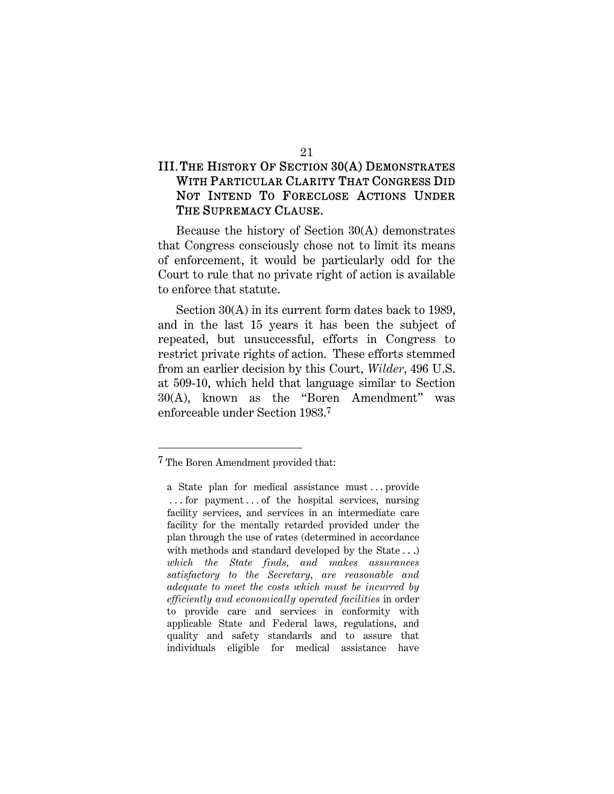# III.THE HISTORY OF SECTION 30(A) DEMONSTRATES WITH PARTICULAR CLARITY THAT CONGRESS DID NOT INTEND TO FORECLOSE ACTIONS UNDER THE SUPREMACY CLAUSE.

Because the history of Section 30(A) demonstrates that Congress consciously chose not to limit its means of enforcement, it would be particularly odd for the Court to rule that no private right of action is available to enforce that statute.

Section 30(A) in its current form dates back to 1989, and in the last 15 years it has been the subject of repeated, but unsuccessful, efforts in Congress to restrict private rights of action. These efforts stemmed from an earlier decision by this Court, *Wilder*, 496 U.S. at 509-10, which held that language similar to Section 30(A), known as the "Boren Amendment" was enforceable under Section 1983.7

<sup>7</sup> The Boren Amendment provided that:

a State plan for medical assistance must . . . provide . . . for payment . . . of the hospital services, nursing facility services, and services in an intermediate care facility for the mentally retarded provided under the plan through the use of rates (determined in accordance with methods and standard developed by the State . . .) *which the State finds, and makes assurances satisfactory to the Secretary, are reasonable and adequate to meet the costs which must be incurred by efficiently and economically operated facilities* in order to provide care and services in conformity with applicable State and Federal laws, regulations, and quality and safety standards and to assure that individuals eligible for medical assistance have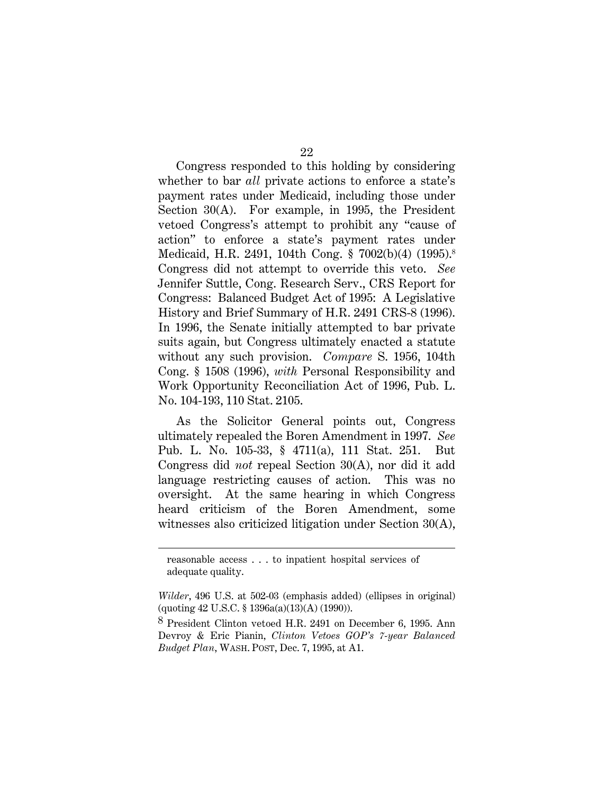Congress responded to this holding by considering whether to bar *all* private actions to enforce a state's payment rates under Medicaid, including those under Section 30(A). For example, in 1995, the President vetoed Congress's attempt to prohibit any "cause of action" to enforce a state's payment rates under Medicaid, H.R. 2491, 104th Cong. § 7002(b)(4) (1995).8 Congress did not attempt to override this veto. *See*  Jennifer Suttle, Cong. Research Serv., CRS Report for Congress: Balanced Budget Act of 1995: A Legislative History and Brief Summary of H.R. 2491 CRS-8 (1996). In 1996, the Senate initially attempted to bar private suits again, but Congress ultimately enacted a statute without any such provision. *Compare* S. 1956, 104th Cong. § 1508 (1996), *with* Personal Responsibility and Work Opportunity Reconciliation Act of 1996, Pub. L. No. 104-193, 110 Stat. 2105.

As the Solicitor General points out, Congress ultimately repealed the Boren Amendment in 1997. *See* Pub. L. No. 105-33, § 4711(a), 111 Stat. 251. But Congress did *not* repeal Section 30(A), nor did it add language restricting causes of action. This was no oversight. At the same hearing in which Congress heard criticism of the Boren Amendment, some witnesses also criticized litigation under Section 30(A),

reasonable access . . . to inpatient hospital services of adequate quality.

*Wilder*, 496 U.S. at 502-03 (emphasis added) (ellipses in original) (quoting 42 U.S.C. § 1396a(a)(13)(A) (1990)).

<sup>8</sup> President Clinton vetoed H.R. 2491 on December 6, 1995. Ann Devroy & Eric Pianin, *Clinton Vetoes GOP's 7-year Balanced Budget Plan*, WASH. POST, Dec. 7, 1995, at A1.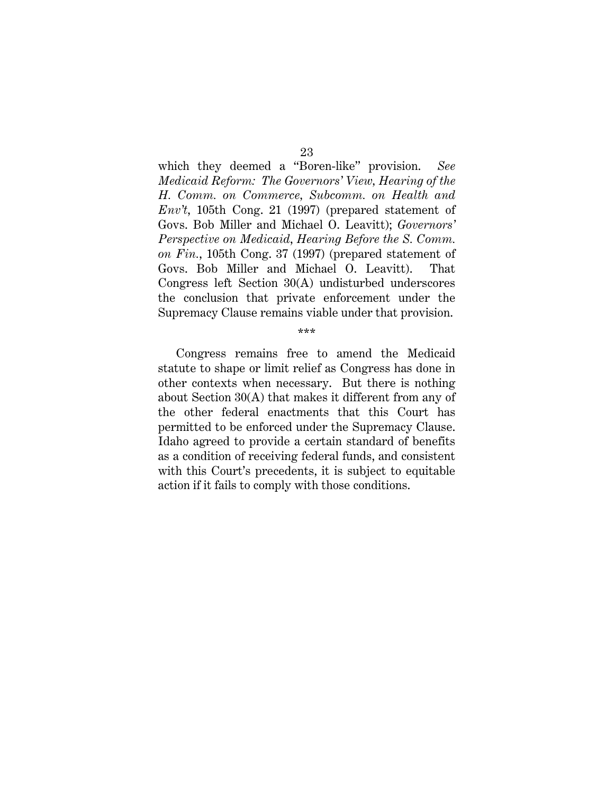which they deemed a "Boren-like" provision. *See Medicaid Reform: The Governors' View, Hearing of the H. Comm. on Commerce, Subcomm. on Health and Env't*, 105th Cong. 21 (1997) (prepared statement of Govs. Bob Miller and Michael O. Leavitt); *Governors' Perspective on Medicaid*, *Hearing Before the S. Comm. on Fin.*, 105th Cong. 37 (1997) (prepared statement of Govs. Bob Miller and Michael O. Leavitt). That Congress left Section 30(A) undisturbed underscores the conclusion that private enforcement under the Supremacy Clause remains viable under that provision.

\*\*\*

Congress remains free to amend the Medicaid statute to shape or limit relief as Congress has done in other contexts when necessary. But there is nothing about Section 30(A) that makes it different from any of the other federal enactments that this Court has permitted to be enforced under the Supremacy Clause. Idaho agreed to provide a certain standard of benefits as a condition of receiving federal funds, and consistent with this Court's precedents, it is subject to equitable action if it fails to comply with those conditions.